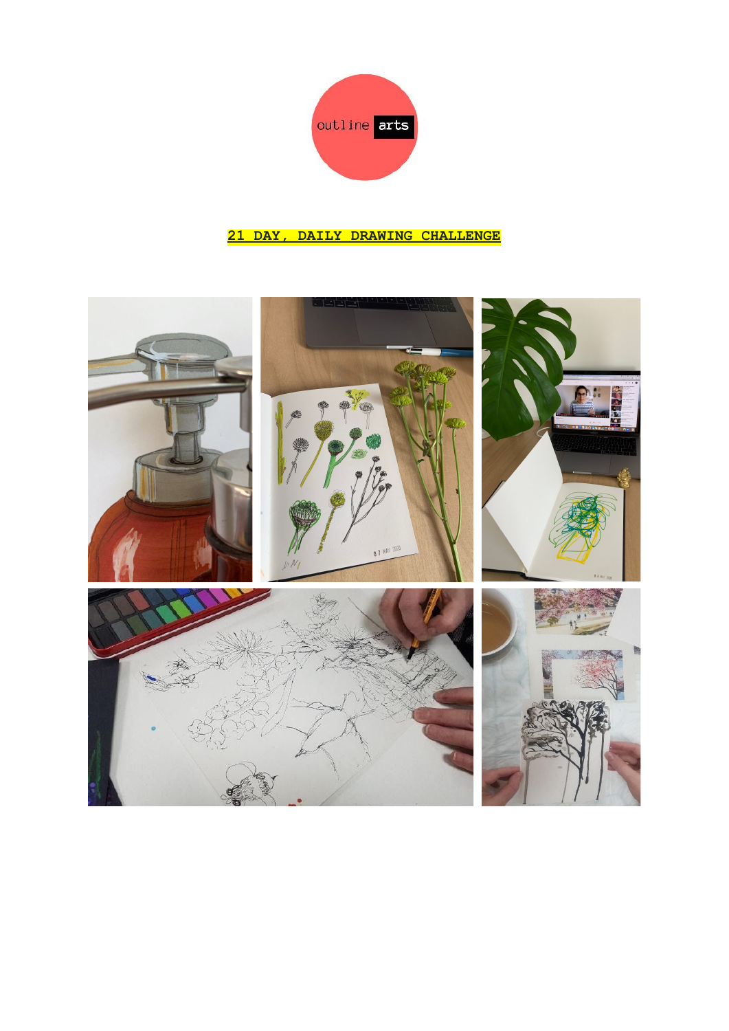

## **21 DAY, DAILY DRAWING CHALLENGE**

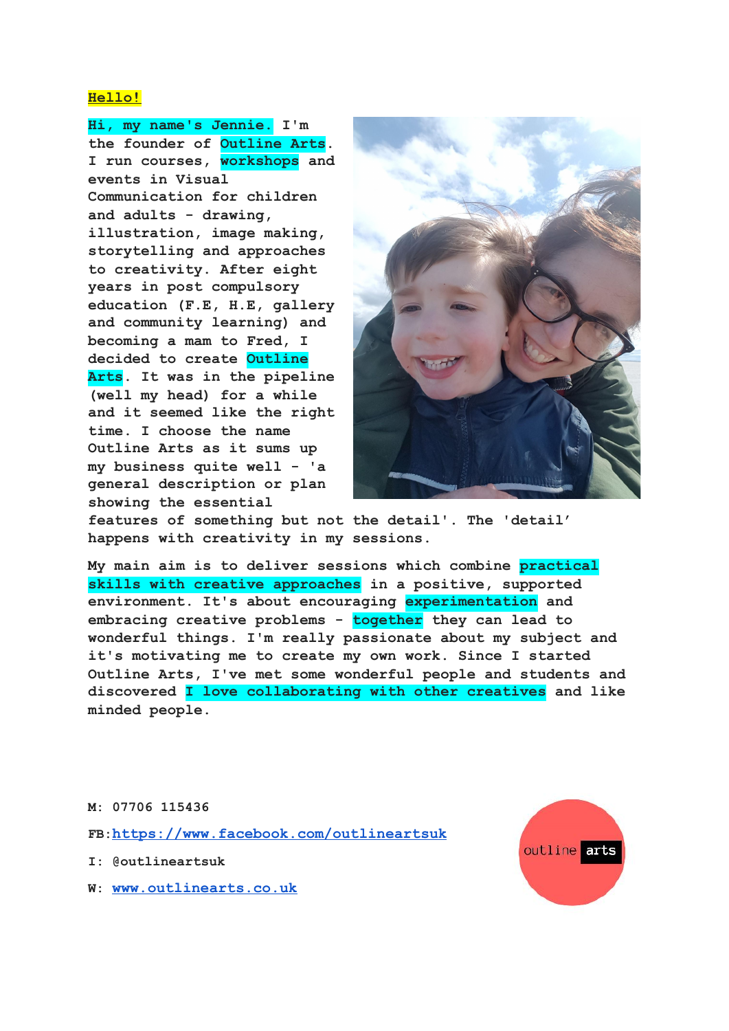### **Hello!**

**Hi, my name's Jennie. I'm the founder of Outline Arts. I run courses, workshops and events in Visual Communication for children and adults - drawing, illustration, image making, storytelling and approaches to creativity. After eight years in post compulsory education (F.E, H.E, gallery and community learning) and becoming a mam to Fred, I decided to create Outline Arts. It was in the pipeline (well my head) for a while and it seemed like the right time. I choose the name Outline Arts as it sums up my business quite well - 'a general description or plan showing the essential**



**features of something but not the detail'. The 'detail' happens with creativity in my sessions.**

**My main aim is to deliver sessions which combine practical skills with creative approaches in a positive, supported environment. It's about encouraging experimentation and embracing creative problems - together they can lead to wonderful things. I'm really passionate about my subject and it's motivating me to create my own work. Since I started Outline Arts, I've met some wonderful people and students and discovered I love collaborating with other creatives and like minded people.**

#### **M: 07706 115436**

**FB:<https://www.facebook.com/outlineartsuk>**

- **I: @outlineartsuk**
- **W: [www.outlinearts.co.uk](http://www.outlinearts.co.uk/)**

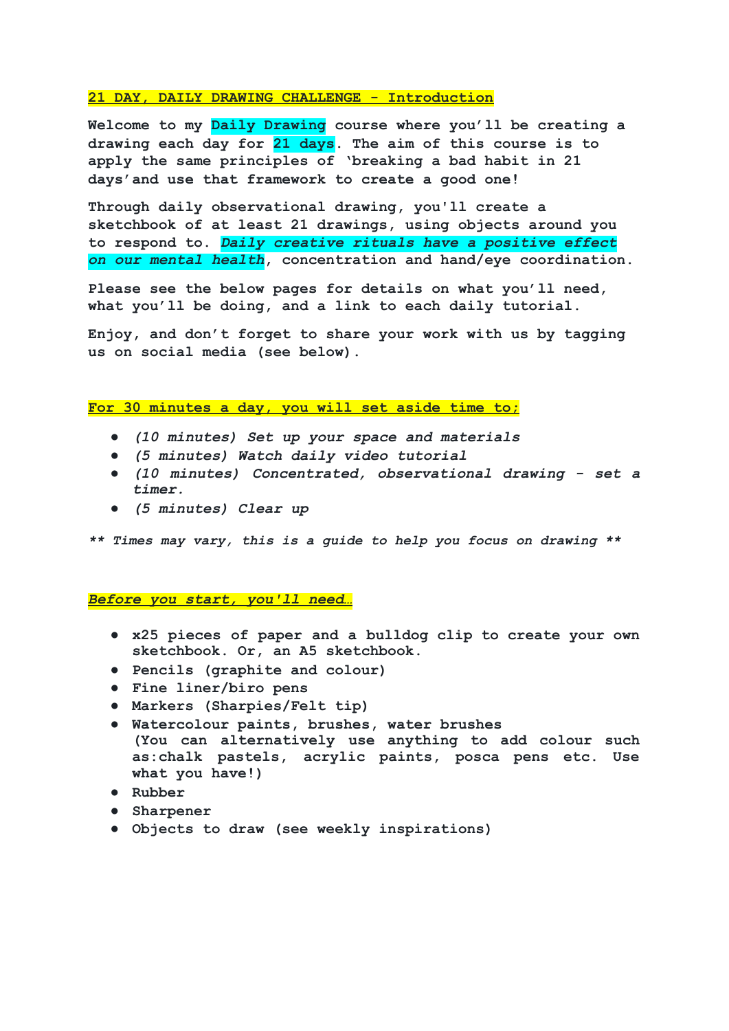#### **21 DAY, DAILY DRAWING CHALLENGE - Introduction**

**Welcome to my Daily Drawing course where you'll be creating a drawing each day for 21 days. The aim of this course is to apply the same principles of 'breaking a bad habit in 21 days'and use that framework to create a good one!**

**Through daily observational drawing, you'll create a sketchbook of at least 21 drawings, using objects around you to respond to.** *Daily creative rituals have a positive effect on our mental health***, concentration and hand/eye coordination.**

**Please see the below pages for details on what you'll need, what you'll be doing, and a link to each daily tutorial.**

**Enjoy, and don't forget to share your work with us by tagging us on social media (see below).**

#### **For 30 minutes a day, you will set aside time to;**

- *● (10 minutes) Set up your space and materials*
- *● (5 minutes) Watch daily video tutorial*
- *● (10 minutes) Concentrated, observational drawing - set a timer.*
- *● (5 minutes) Clear up*

*\*\* Times may vary, this is a guide to help you focus on drawing \*\**

*Before you start, you'll need…*

- **● x25 pieces of paper and a bulldog clip to create your own sketchbook. Or, an A5 sketchbook.**
- **● Pencils (graphite and colour)**
- **● Fine liner/biro pens**
- **● Markers (Sharpies/Felt tip)**
- **● Watercolour paints, brushes, water brushes (You can alternatively use anything to add colour such as:chalk pastels, acrylic paints, posca pens etc. Use what you have!)**
- **● Rubber**
- **● Sharpener**
- **● Objects to draw (see weekly inspirations)**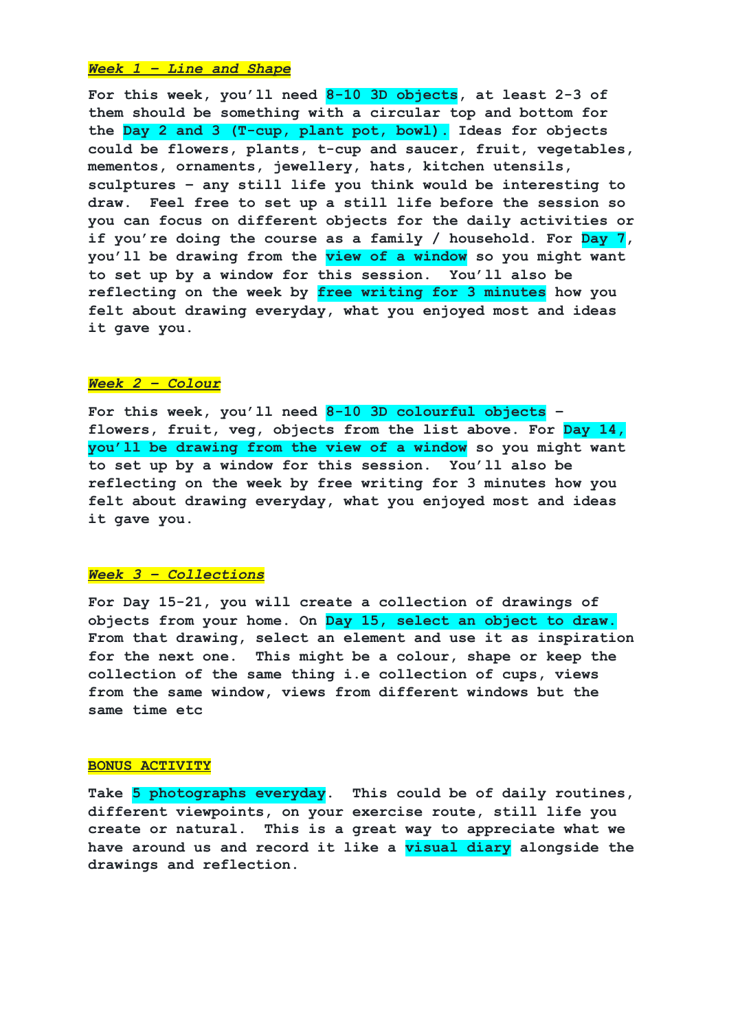#### *Week 1 – Line and Shape*

**For this week, you'll need 8-10 3D objects, at least 2-3 of them should be something with a circular top and bottom for the Day 2 and 3 (T-cup, plant pot, bowl). Ideas for objects could be flowers, plants, t-cup and saucer, fruit, vegetables, mementos, ornaments, jewellery, hats, kitchen utensils, sculptures – any still life you think would be interesting to draw. Feel free to set up a still life before the session so you can focus on different objects for the daily activities or if you're doing the course as a family / household. For Day 7, you'll be drawing from the view of a window so you might want to set up by a window for this session. You'll also be reflecting on the week by free writing for 3 minutes how you felt about drawing everyday, what you enjoyed most and ideas it gave you.**

### *Week 2 – Colour*

**For this week, you'll need 8-10 3D colourful objects – flowers, fruit, veg, objects from the list above. For Day 14, you'll be drawing from the view of a window so you might want to set up by a window for this session. You'll also be reflecting on the week by free writing for 3 minutes how you felt about drawing everyday, what you enjoyed most and ideas it gave you.**

#### *Week 3 – Collections*

**For Day 15-21, you will create a collection of drawings of objects from your home. On Day 15, select an object to draw. From that drawing, select an element and use it as inspiration for the next one. This might be a colour, shape or keep the collection of the same thing i.e collection of cups, views from the same window, views from different windows but the same time etc**

#### **BONUS ACTIVITY**

**Take 5 photographs everyday. This could be of daily routines, different viewpoints, on your exercise route, still life you create or natural. This is a great way to appreciate what we have around us and record it like a visual diary alongside the drawings and reflection.**